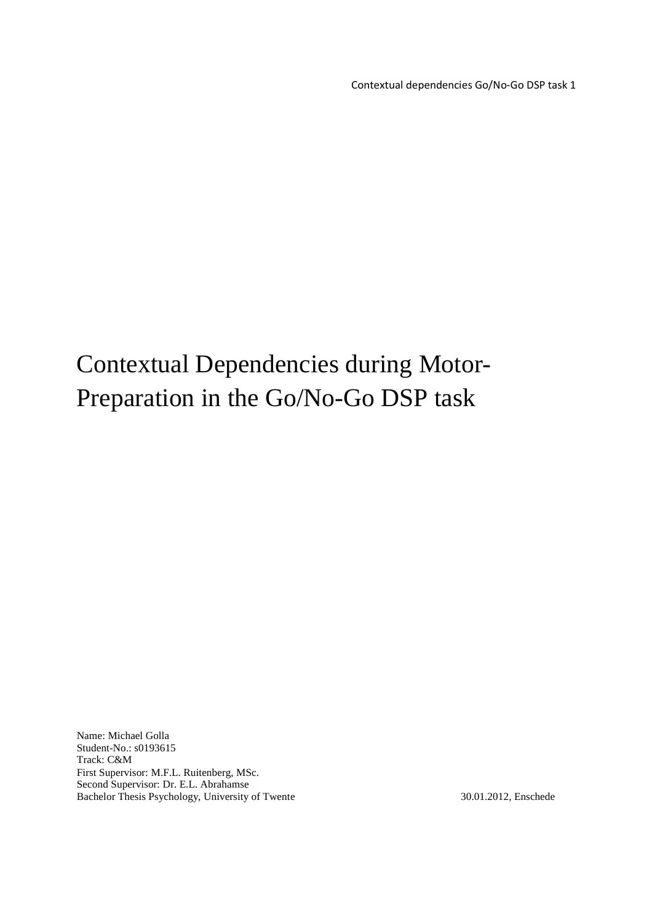Contextual dependencies Go/No-Go DSP task 1

# Contextual Dependencies during Motor-Preparation in the Go/No-Go DSP task

Name: Michael Golla Student-No.: s0193615 Track: C&M First Supervisor: M.F.L. Ruitenberg, MSc. Second Supervisor: Dr. E.L. Abrahamse Bachelor Thesis Psychology, University of Twente 30.01.2012, Enschede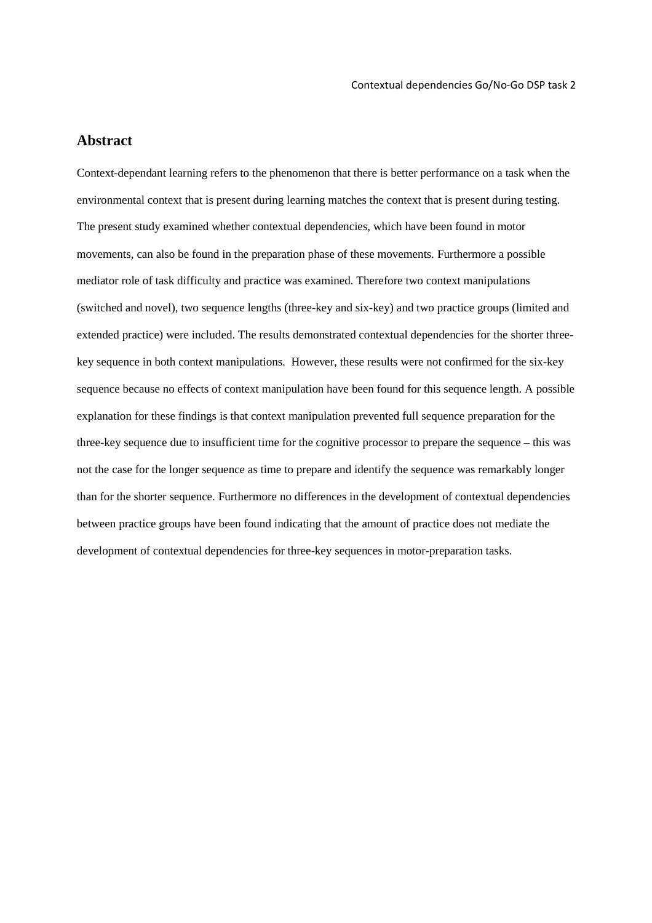## **Abstract**

Context-dependant learning refers to the phenomenon that there is better performance on a task when the environmental context that is present during learning matches the context that is present during testing. The present study examined whether contextual dependencies, which have been found in motor movements, can also be found in the preparation phase of these movements. Furthermore a possible mediator role of task difficulty and practice was examined. Therefore two context manipulations (switched and novel), two sequence lengths (three-key and six-key) and two practice groups (limited and extended practice) were included. The results demonstrated contextual dependencies for the shorter threekey sequence in both context manipulations. However, these results were not confirmed for the six-key sequence because no effects of context manipulation have been found for this sequence length. A possible explanation for these findings is that context manipulation prevented full sequence preparation for the three-key sequence due to insufficient time for the cognitive processor to prepare the sequence – this was not the case for the longer sequence as time to prepare and identify the sequence was remarkably longer than for the shorter sequence. Furthermore no differences in the development of contextual dependencies between practice groups have been found indicating that the amount of practice does not mediate the development of contextual dependencies for three-key sequences in motor-preparation tasks.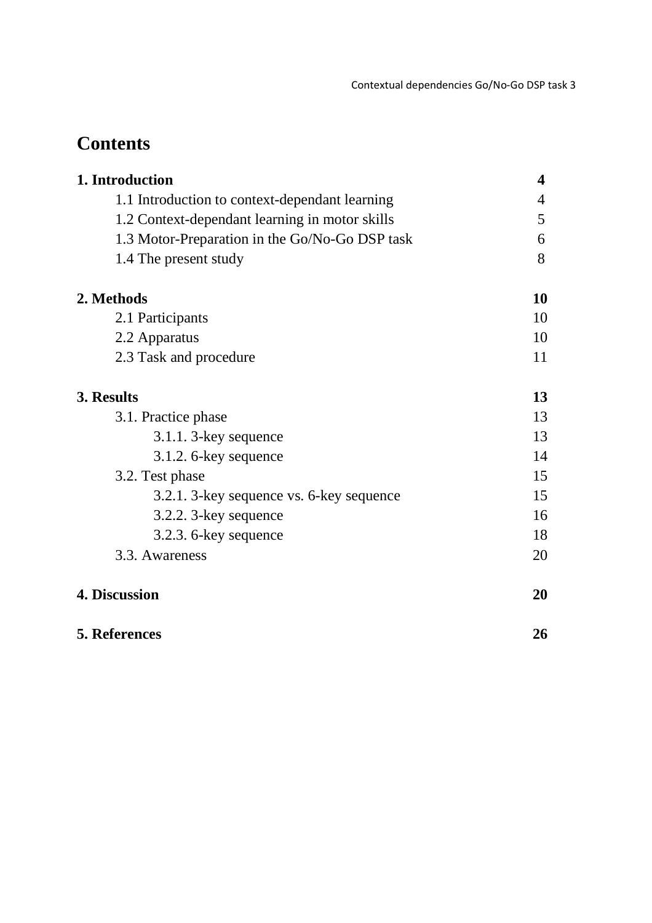## **Contents**

| 1. Introduction<br>1.1 Introduction to context-dependant learning<br>1.2 Context-dependant learning in motor skills<br>1.3 Motor-Preparation in the Go/No-Go DSP task<br>1.4 The present study | 4<br>4<br>5<br>6<br>8 |                        |    |
|------------------------------------------------------------------------------------------------------------------------------------------------------------------------------------------------|-----------------------|------------------------|----|
|                                                                                                                                                                                                |                       | 2. Methods             | 10 |
|                                                                                                                                                                                                |                       | 2.1 Participants       | 10 |
|                                                                                                                                                                                                |                       | 2.2 Apparatus          | 10 |
|                                                                                                                                                                                                |                       | 2.3 Task and procedure | 11 |
| 3. Results                                                                                                                                                                                     | 13                    |                        |    |
| 3.1. Practice phase                                                                                                                                                                            | 13                    |                        |    |
| $3.1.1.3$ -key sequence                                                                                                                                                                        | 13                    |                        |    |
| $3.1.2.6$ -key sequence                                                                                                                                                                        | 14                    |                        |    |
| 3.2. Test phase                                                                                                                                                                                | 15                    |                        |    |
| 3.2.1. 3-key sequence vs. 6-key sequence                                                                                                                                                       | 15                    |                        |    |
| 3.2.2. 3-key sequence                                                                                                                                                                          | 16                    |                        |    |
| 3.2.3. 6-key sequence                                                                                                                                                                          | 18                    |                        |    |
| 3.3. Awareness                                                                                                                                                                                 | 20                    |                        |    |
| 4. Discussion                                                                                                                                                                                  | 20                    |                        |    |
| <b>5. References</b>                                                                                                                                                                           | 26                    |                        |    |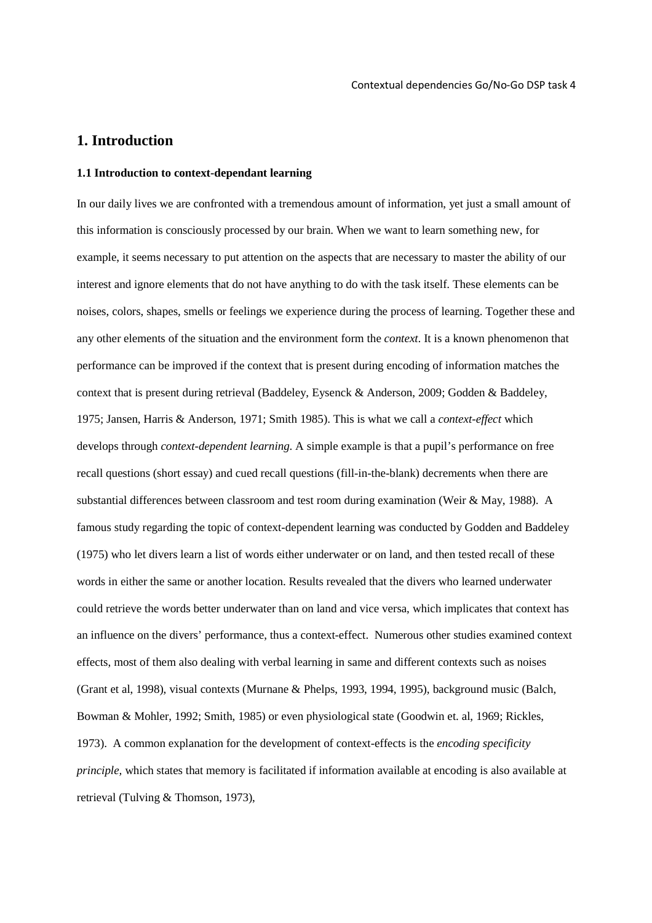## **1. Introduction**

### **1.1 Introduction to context-dependant learning**

In our daily lives we are confronted with a tremendous amount of information, yet just a small amount of this information is consciously processed by our brain. When we want to learn something new, for example, it seems necessary to put attention on the aspects that are necessary to master the ability of our interest and ignore elements that do not have anything to do with the task itself. These elements can be noises, colors, shapes, smells or feelings we experience during the process of learning. Together these and any other elements of the situation and the environment form the *context*. It is a known phenomenon that performance can be improved if the context that is present during encoding of information matches the context that is present during retrieval (Baddeley, Eysenck & Anderson, 2009; Godden & Baddeley, 1975; Jansen, Harris & Anderson, 1971; Smith 1985). This is what we call a *context-effect* which develops through *context-dependent learning*. A simple example is that a pupil's performance on free recall questions (short essay) and cued recall questions (fill-in-the-blank) decrements when there are substantial differences between classroom and test room during examination (Weir & May, 1988). A famous study regarding the topic of context-dependent learning was conducted by Godden and Baddeley (1975) who let divers learn a list of words either underwater or on land, and then tested recall of these words in either the same or another location. Results revealed that the divers who learned underwater could retrieve the words better underwater than on land and vice versa, which implicates that context has an influence on the divers' performance, thus a context-effect. Numerous other studies examined context effects, most of them also dealing with verbal learning in same and different contexts such as noises (Grant et al, 1998), visual contexts (Murnane & Phelps, 1993, 1994, 1995), background music (Balch, Bowman & Mohler, 1992; Smith, 1985) or even physiological state (Goodwin et. al, 1969; Rickles, 1973). A common explanation for the development of context-effects is the *encoding specificity principle,* which states that memory is facilitated if information available at encoding is also available at retrieval (Tulving & Thomson, 1973),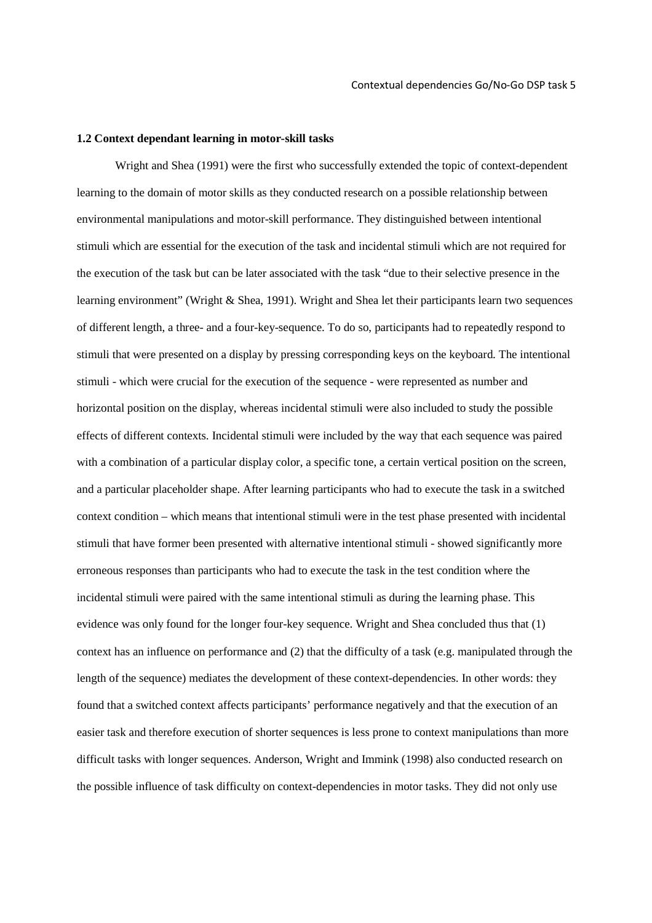## **1.2 Context dependant learning in motor-skill tasks**

Wright and Shea (1991) were the first who successfully extended the topic of context-dependent learning to the domain of motor skills as they conducted research on a possible relationship between environmental manipulations and motor-skill performance. They distinguished between intentional stimuli which are essential for the execution of the task and incidental stimuli which are not required for the execution of the task but can be later associated with the task "due to their selective presence in the learning environment" (Wright & Shea, 1991). Wright and Shea let their participants learn two sequences of different length, a three- and a four-key-sequence. To do so, participants had to repeatedly respond to stimuli that were presented on a display by pressing corresponding keys on the keyboard. The intentional stimuli - which were crucial for the execution of the sequence - were represented as number and horizontal position on the display, whereas incidental stimuli were also included to study the possible effects of different contexts. Incidental stimuli were included by the way that each sequence was paired with a combination of a particular display color, a specific tone, a certain vertical position on the screen, and a particular placeholder shape. After learning participants who had to execute the task in a switched context condition – which means that intentional stimuli were in the test phase presented with incidental stimuli that have former been presented with alternative intentional stimuli - showed significantly more erroneous responses than participants who had to execute the task in the test condition where the incidental stimuli were paired with the same intentional stimuli as during the learning phase. This evidence was only found for the longer four-key sequence. Wright and Shea concluded thus that (1) context has an influence on performance and (2) that the difficulty of a task (e.g. manipulated through the length of the sequence) mediates the development of these context-dependencies. In other words: they found that a switched context affects participants' performance negatively and that the execution of an easier task and therefore execution of shorter sequences is less prone to context manipulations than more difficult tasks with longer sequences. Anderson, Wright and Immink (1998) also conducted research on the possible influence of task difficulty on context-dependencies in motor tasks. They did not only use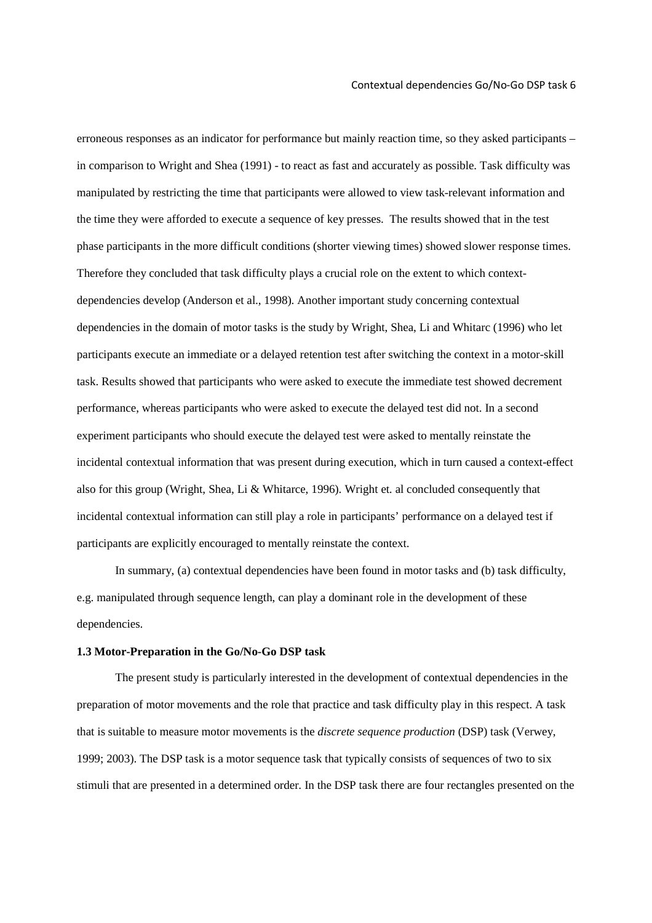erroneous responses as an indicator for performance but mainly reaction time, so they asked participants – in comparison to Wright and Shea (1991) - to react as fast and accurately as possible. Task difficulty was manipulated by restricting the time that participants were allowed to view task-relevant information and the time they were afforded to execute a sequence of key presses. The results showed that in the test phase participants in the more difficult conditions (shorter viewing times) showed slower response times. Therefore they concluded that task difficulty plays a crucial role on the extent to which contextdependencies develop (Anderson et al., 1998). Another important study concerning contextual dependencies in the domain of motor tasks is the study by Wright, Shea, Li and Whitarc (1996) who let participants execute an immediate or a delayed retention test after switching the context in a motor-skill task. Results showed that participants who were asked to execute the immediate test showed decrement performance, whereas participants who were asked to execute the delayed test did not. In a second experiment participants who should execute the delayed test were asked to mentally reinstate the incidental contextual information that was present during execution, which in turn caused a context-effect also for this group (Wright, Shea, Li & Whitarce, 1996). Wright et. al concluded consequently that incidental contextual information can still play a role in participants' performance on a delayed test if participants are explicitly encouraged to mentally reinstate the context.

In summary, (a) contextual dependencies have been found in motor tasks and (b) task difficulty, e.g. manipulated through sequence length, can play a dominant role in the development of these dependencies.

## **1.3 Motor-Preparation in the Go/No-Go DSP task**

The present study is particularly interested in the development of contextual dependencies in the preparation of motor movements and the role that practice and task difficulty play in this respect. A task that is suitable to measure motor movements is the *discrete sequence production* (DSP) task (Verwey, 1999; 2003). The DSP task is a motor sequence task that typically consists of sequences of two to six stimuli that are presented in a determined order. In the DSP task there are four rectangles presented on the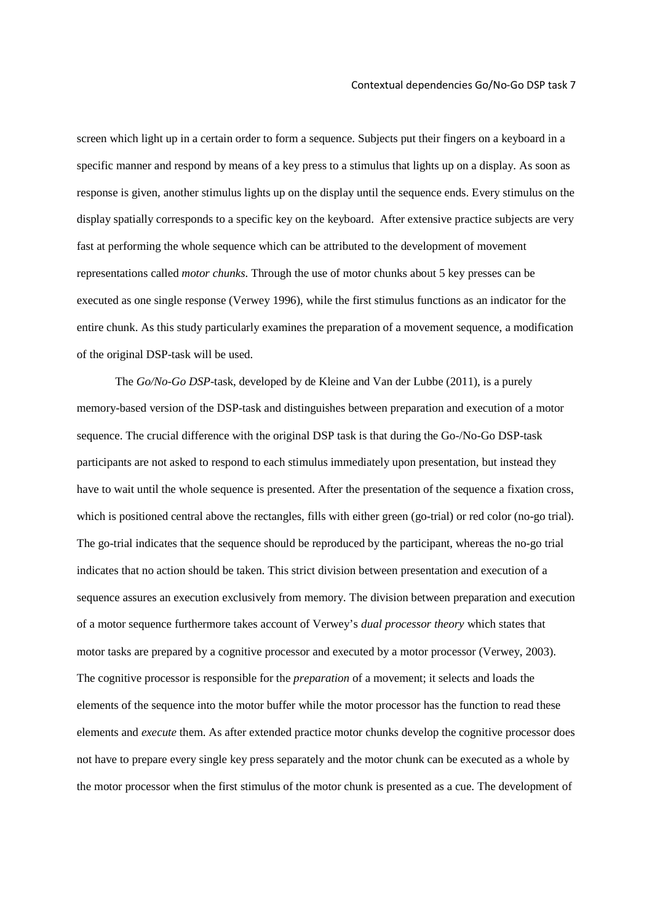screen which light up in a certain order to form a sequence. Subjects put their fingers on a keyboard in a specific manner and respond by means of a key press to a stimulus that lights up on a display. As soon as response is given, another stimulus lights up on the display until the sequence ends. Every stimulus on the display spatially corresponds to a specific key on the keyboard. After extensive practice subjects are very fast at performing the whole sequence which can be attributed to the development of movement representations called *motor chunks*. Through the use of motor chunks about 5 key presses can be executed as one single response (Verwey 1996), while the first stimulus functions as an indicator for the entire chunk. As this study particularly examines the preparation of a movement sequence, a modification of the original DSP-task will be used.

 The *Go/No-Go DSP*-task, developed by de Kleine and Van der Lubbe (2011), is a purely memory-based version of the DSP-task and distinguishes between preparation and execution of a motor sequence. The crucial difference with the original DSP task is that during the Go-/No-Go DSP-task participants are not asked to respond to each stimulus immediately upon presentation, but instead they have to wait until the whole sequence is presented. After the presentation of the sequence a fixation cross, which is positioned central above the rectangles, fills with either green (go-trial) or red color (no-go trial). The go-trial indicates that the sequence should be reproduced by the participant, whereas the no-go trial indicates that no action should be taken. This strict division between presentation and execution of a sequence assures an execution exclusively from memory. The division between preparation and execution of a motor sequence furthermore takes account of Verwey's *dual processor theory* which states that motor tasks are prepared by a cognitive processor and executed by a motor processor (Verwey, 2003). The cognitive processor is responsible for the *preparation* of a movement; it selects and loads the elements of the sequence into the motor buffer while the motor processor has the function to read these elements and *execute* them. As after extended practice motor chunks develop the cognitive processor does not have to prepare every single key press separately and the motor chunk can be executed as a whole by the motor processor when the first stimulus of the motor chunk is presented as a cue. The development of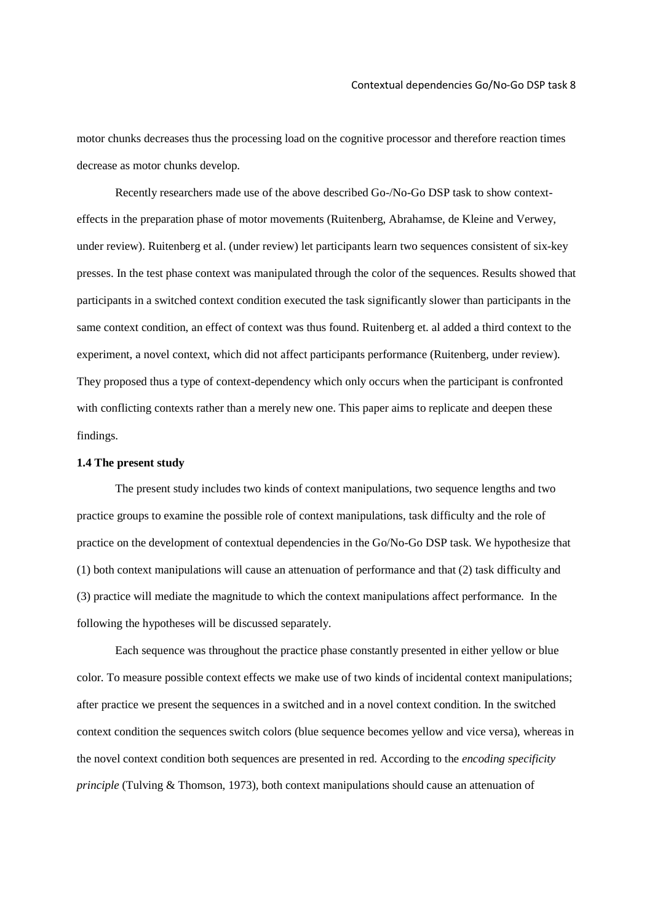motor chunks decreases thus the processing load on the cognitive processor and therefore reaction times decrease as motor chunks develop.

 Recently researchers made use of the above described Go-/No-Go DSP task to show contexteffects in the preparation phase of motor movements (Ruitenberg, Abrahamse, de Kleine and Verwey, under review). Ruitenberg et al. (under review) let participants learn two sequences consistent of six-key presses. In the test phase context was manipulated through the color of the sequences. Results showed that participants in a switched context condition executed the task significantly slower than participants in the same context condition, an effect of context was thus found. Ruitenberg et. al added a third context to the experiment, a novel context, which did not affect participants performance (Ruitenberg, under review). They proposed thus a type of context-dependency which only occurs when the participant is confronted with conflicting contexts rather than a merely new one. This paper aims to replicate and deepen these findings.

## **1.4 The present study**

The present study includes two kinds of context manipulations, two sequence lengths and two practice groups to examine the possible role of context manipulations, task difficulty and the role of practice on the development of contextual dependencies in the Go/No-Go DSP task. We hypothesize that (1) both context manipulations will cause an attenuation of performance and that (2) task difficulty and (3) practice will mediate the magnitude to which the context manipulations affect performance. In the following the hypotheses will be discussed separately.

 Each sequence was throughout the practice phase constantly presented in either yellow or blue color. To measure possible context effects we make use of two kinds of incidental context manipulations; after practice we present the sequences in a switched and in a novel context condition. In the switched context condition the sequences switch colors (blue sequence becomes yellow and vice versa), whereas in the novel context condition both sequences are presented in red. According to the *encoding specificity principle* (Tulving & Thomson, 1973)*,* both context manipulations should cause an attenuation of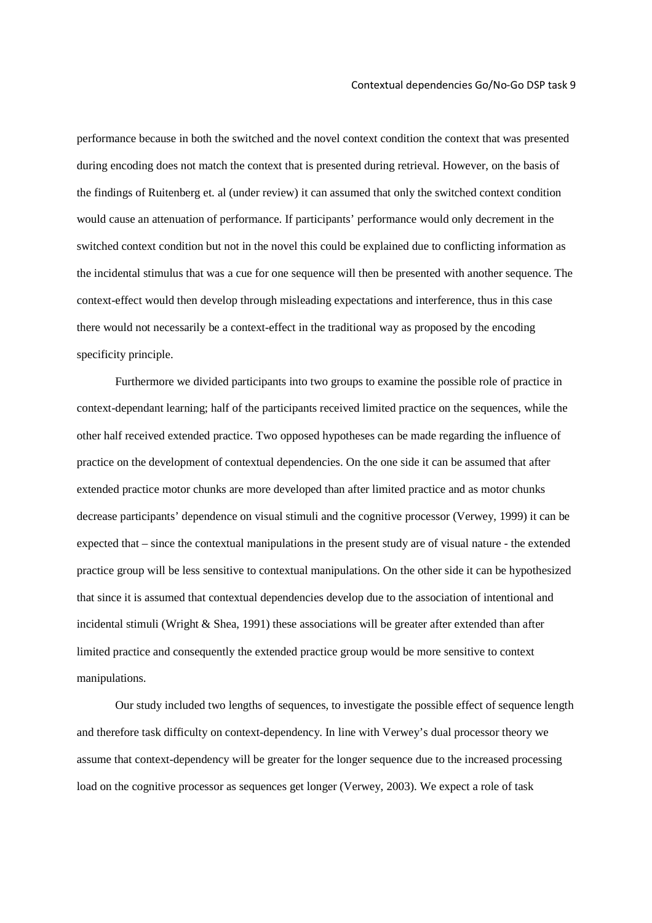performance because in both the switched and the novel context condition the context that was presented during encoding does not match the context that is presented during retrieval. However, on the basis of the findings of Ruitenberg et. al (under review) it can assumed that only the switched context condition would cause an attenuation of performance. If participants' performance would only decrement in the switched context condition but not in the novel this could be explained due to conflicting information as the incidental stimulus that was a cue for one sequence will then be presented with another sequence. The context-effect would then develop through misleading expectations and interference, thus in this case there would not necessarily be a context-effect in the traditional way as proposed by the encoding specificity principle.

 Furthermore we divided participants into two groups to examine the possible role of practice in context-dependant learning; half of the participants received limited practice on the sequences, while the other half received extended practice. Two opposed hypotheses can be made regarding the influence of practice on the development of contextual dependencies. On the one side it can be assumed that after extended practice motor chunks are more developed than after limited practice and as motor chunks decrease participants' dependence on visual stimuli and the cognitive processor (Verwey, 1999) it can be expected that – since the contextual manipulations in the present study are of visual nature - the extended practice group will be less sensitive to contextual manipulations. On the other side it can be hypothesized that since it is assumed that contextual dependencies develop due to the association of intentional and incidental stimuli (Wright  $\&$  Shea, 1991) these associations will be greater after extended than after limited practice and consequently the extended practice group would be more sensitive to context manipulations.

Our study included two lengths of sequences, to investigate the possible effect of sequence length and therefore task difficulty on context-dependency. In line with Verwey's dual processor theory we assume that context-dependency will be greater for the longer sequence due to the increased processing load on the cognitive processor as sequences get longer (Verwey, 2003). We expect a role of task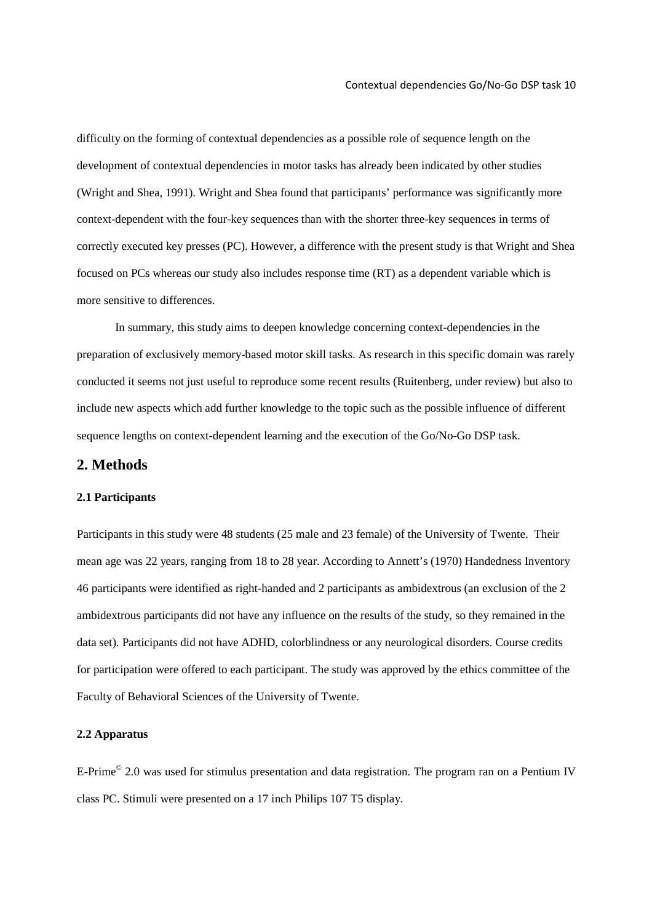difficulty on the forming of contextual dependencies as a possible role of sequence length on the development of contextual dependencies in motor tasks has already been indicated by other studies (Wright and Shea, 1991). Wright and Shea found that participants' performance was significantly more context-dependent with the four-key sequences than with the shorter three-key sequences in terms of correctly executed key presses (PC). However, a difference with the present study is that Wright and Shea focused on PCs whereas our study also includes response time (RT) as a dependent variable which is more sensitive to differences.

 In summary, this study aims to deepen knowledge concerning context-dependencies in the preparation of exclusively memory-based motor skill tasks. As research in this specific domain was rarely conducted it seems not just useful to reproduce some recent results (Ruitenberg, under review) but also to include new aspects which add further knowledge to the topic such as the possible influence of different sequence lengths on context-dependent learning and the execution of the Go/No-Go DSP task.

## **2. Methods**

## **2.1 Participants**

Participants in this study were 48 students (25 male and 23 female) of the University of Twente. Their mean age was 22 years, ranging from 18 to 28 year. According to Annett's (1970) Handedness Inventory 46 participants were identified as right-handed and 2 participants as ambidextrous (an exclusion of the 2 ambidextrous participants did not have any influence on the results of the study, so they remained in the data set). Participants did not have ADHD, colorblindness or any neurological disorders. Course credits for participation were offered to each participant. The study was approved by the ethics committee of the Faculty of Behavioral Sciences of the University of Twente.

#### **2.2 Apparatus**

E-Prime<sup>©</sup> 2.0 was used for stimulus presentation and data registration. The program ran on a Pentium IV class PC. Stimuli were presented on a 17 inch Philips 107 T5 display.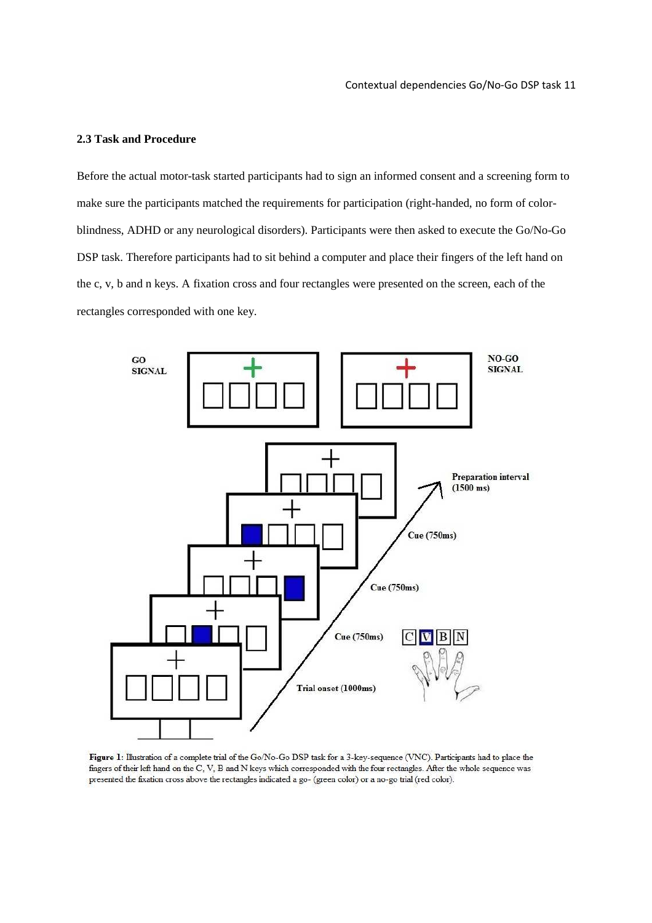## **2.3 Task and Procedure**

Before the actual motor-task started participants had to sign an informed consent and a screening form to make sure the participants matched the requirements for participation (right-handed, no form of colorblindness, ADHD or any neurological disorders). Participants were then asked to execute the Go/No-Go DSP task. Therefore participants had to sit behind a computer and place their fingers of the left hand on the c, v, b and n keys. A fixation cross and four rectangles were presented on the screen, each of the rectangles corresponded with one key.



Figure 1: Illustration of a complete trial of the Go/No-Go DSP task for a 3-key-sequence (VNC). Participants had to place the fingers of their left hand on the C, V, B and N keys which corresponded with the four rectangles. After the whole sequence was presented the fixation cross above the rectangles indicated a go- (green color) or a no-go trial (red color).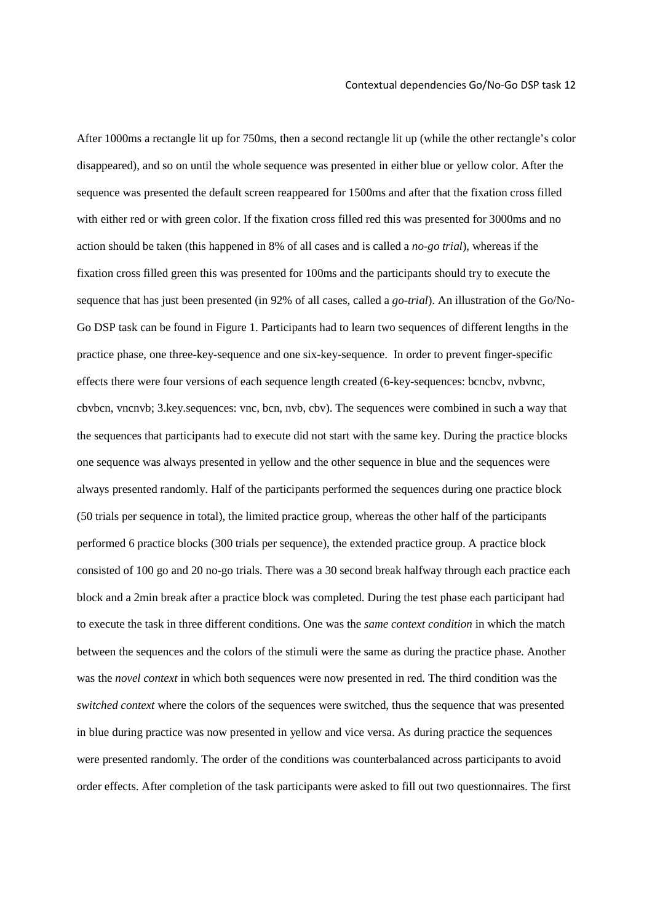After 1000ms a rectangle lit up for 750ms, then a second rectangle lit up (while the other rectangle's color disappeared), and so on until the whole sequence was presented in either blue or yellow color. After the sequence was presented the default screen reappeared for 1500ms and after that the fixation cross filled with either red or with green color. If the fixation cross filled red this was presented for 3000ms and no action should be taken (this happened in 8% of all cases and is called a *no-go trial*), whereas if the fixation cross filled green this was presented for 100ms and the participants should try to execute the sequence that has just been presented (in 92% of all cases, called a *go-trial*). An illustration of the Go/No-Go DSP task can be found in Figure 1. Participants had to learn two sequences of different lengths in the practice phase, one three-key-sequence and one six-key-sequence. In order to prevent finger-specific effects there were four versions of each sequence length created (6-key-sequences: bcncbv, nvbvnc, cbvbcn, vncnvb; 3.key.sequences: vnc, bcn, nvb, cbv). The sequences were combined in such a way that the sequences that participants had to execute did not start with the same key. During the practice blocks one sequence was always presented in yellow and the other sequence in blue and the sequences were always presented randomly. Half of the participants performed the sequences during one practice block (50 trials per sequence in total), the limited practice group, whereas the other half of the participants performed 6 practice blocks (300 trials per sequence), the extended practice group. A practice block consisted of 100 go and 20 no-go trials. There was a 30 second break halfway through each practice each block and a 2min break after a practice block was completed. During the test phase each participant had to execute the task in three different conditions. One was the *same context condition* in which the match between the sequences and the colors of the stimuli were the same as during the practice phase. Another was the *novel context* in which both sequences were now presented in red. The third condition was the *switched context* where the colors of the sequences were switched, thus the sequence that was presented in blue during practice was now presented in yellow and vice versa. As during practice the sequences were presented randomly. The order of the conditions was counterbalanced across participants to avoid order effects. After completion of the task participants were asked to fill out two questionnaires. The first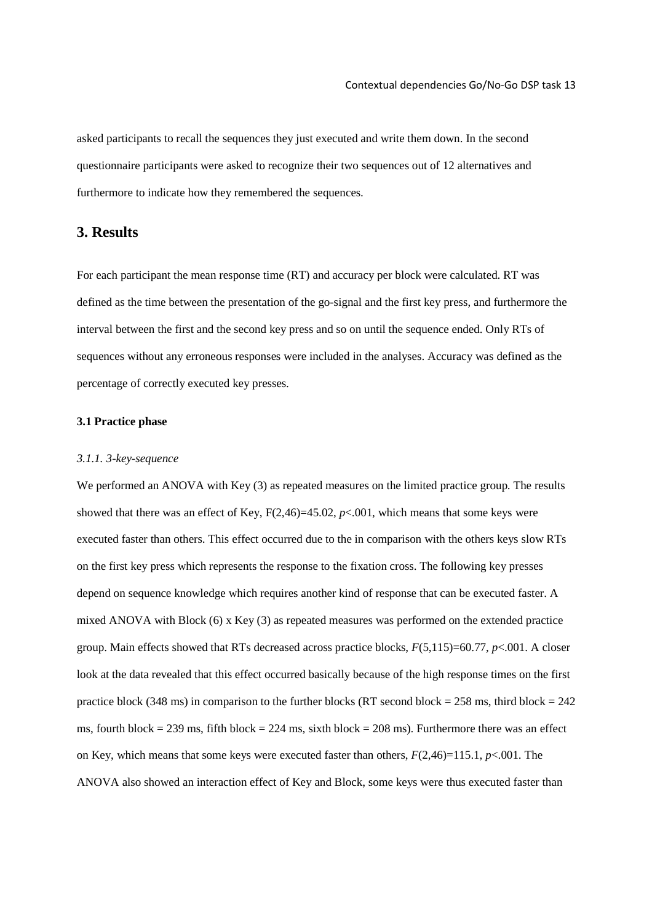asked participants to recall the sequences they just executed and write them down. In the second questionnaire participants were asked to recognize their two sequences out of 12 alternatives and furthermore to indicate how they remembered the sequences.

## **3. Results**

For each participant the mean response time (RT) and accuracy per block were calculated. RT was defined as the time between the presentation of the go-signal and the first key press, and furthermore the interval between the first and the second key press and so on until the sequence ended. Only RTs of sequences without any erroneous responses were included in the analyses. Accuracy was defined as the percentage of correctly executed key presses.

## **3.1 Practice phase**

#### *3.1.1. 3-key-sequence*

We performed an ANOVA with Key (3) as repeated measures on the limited practice group. The results showed that there was an effect of Key,  $F(2,46)=45.02$ ,  $p<.001$ , which means that some keys were executed faster than others. This effect occurred due to the in comparison with the others keys slow RTs on the first key press which represents the response to the fixation cross. The following key presses depend on sequence knowledge which requires another kind of response that can be executed faster. A mixed ANOVA with Block (6) x Key (3) as repeated measures was performed on the extended practice group. Main effects showed that RTs decreased across practice blocks, *F*(5,115)=60.77, *p*<.001. A closer look at the data revealed that this effect occurred basically because of the high response times on the first practice block (348 ms) in comparison to the further blocks (RT second block =  $258$  ms, third block =  $242$ ms, fourth block = 239 ms, fifth block = 224 ms, sixth block = 208 ms). Furthermore there was an effect on Key, which means that some keys were executed faster than others, *F*(2,46)=115.1, *p*<.001. The ANOVA also showed an interaction effect of Key and Block, some keys were thus executed faster than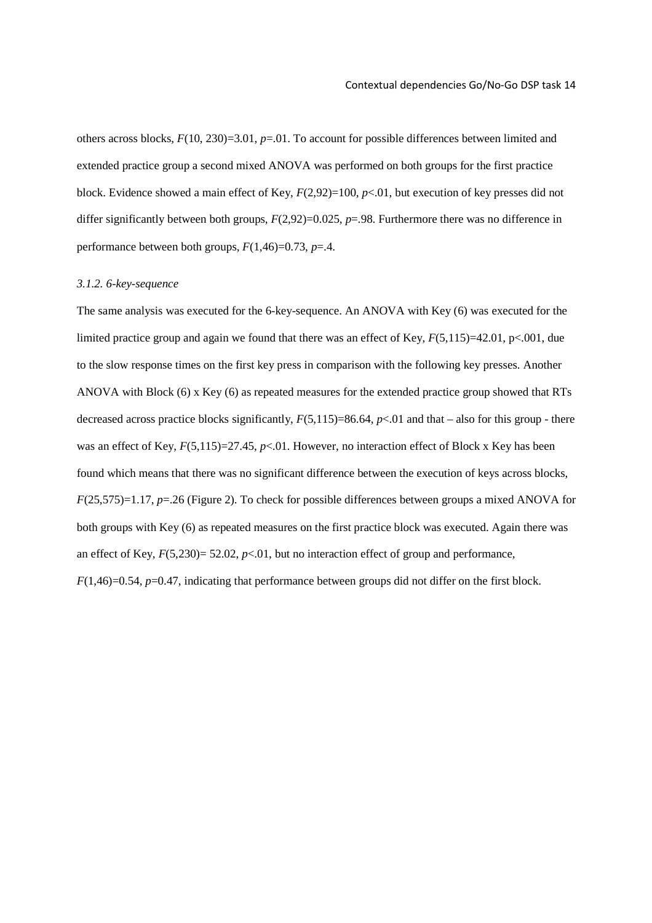others across blocks, *F*(10, 230)=3.01, *p*=.01. To account for possible differences between limited and extended practice group a second mixed ANOVA was performed on both groups for the first practice block. Evidence showed a main effect of Key,  $F(2,92)=100$ ,  $p<0.1$ , but execution of key presses did not differ significantly between both groups,  $F(2,92)=0.025$ ,  $p=.98$ . Furthermore there was no difference in performance between both groups,  $F(1,46)=0.73$ ,  $p=.4$ .

#### *3.1.2. 6-key-sequence*

The same analysis was executed for the 6-key-sequence. An ANOVA with Key (6) was executed for the limited practice group and again we found that there was an effect of Key,  $F(5,115)=42.01$ , p<.001, due to the slow response times on the first key press in comparison with the following key presses. Another ANOVA with Block (6) x Key (6) as repeated measures for the extended practice group showed that RTs decreased across practice blocks significantly,  $F(5,115)=86.64$ ,  $p<0.01$  and that – also for this group - there was an effect of Key,  $F(5,115)=27.45$ ,  $p<01$ . However, no interaction effect of Block x Key has been found which means that there was no significant difference between the execution of keys across blocks, *F*(25,575)=1.17, *p*=.26 (Figure 2). To check for possible differences between groups a mixed ANOVA for both groups with Key (6) as repeated measures on the first practice block was executed. Again there was an effect of Key,  $F(5,230)= 52.02$ ,  $p<0.01$ , but no interaction effect of group and performance, *F*(1,46)=0.54, *p*=0.47, indicating that performance between groups did not differ on the first block.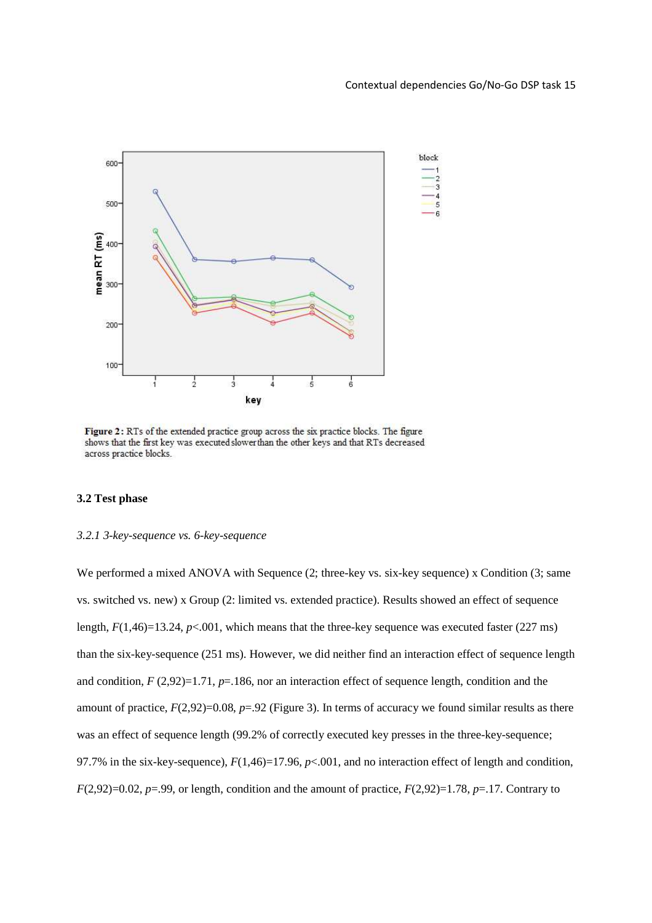

Figure 2: RTs of the extended practice group across the six practice blocks. The figure shows that the first key was executed slower than the other keys and that RTs decreased across practice blocks.

## **3.2 Test phase**

## *3.2.1 3-key-sequence vs. 6-key-sequence*

We performed a mixed ANOVA with Sequence  $(2;$  three-key vs. six-key sequence) x Condition  $(3;$  same vs. switched vs. new) x Group (2: limited vs. extended practice). Results showed an effect of sequence length, *F*(1,46)=13.24, *p*<.001, which means that the three-key sequence was executed faster (227 ms) than the six-key-sequence (251 ms). However, we did neither find an interaction effect of sequence length and condition,  $F(2,92)=1.71$ ,  $p=.186$ , nor an interaction effect of sequence length, condition and the amount of practice,  $F(2,92)=0.08$ ,  $p=.92$  (Figure 3). In terms of accuracy we found similar results as there was an effect of sequence length (99.2% of correctly executed key presses in the three-key-sequence; 97.7% in the six-key-sequence),  $F(1,46)=17.96$ ,  $p<.001$ , and no interaction effect of length and condition,  $F(2,92)=0.02$ ,  $p=.99$ , or length, condition and the amount of practice,  $F(2,92)=1.78$ ,  $p=.17$ . Contrary to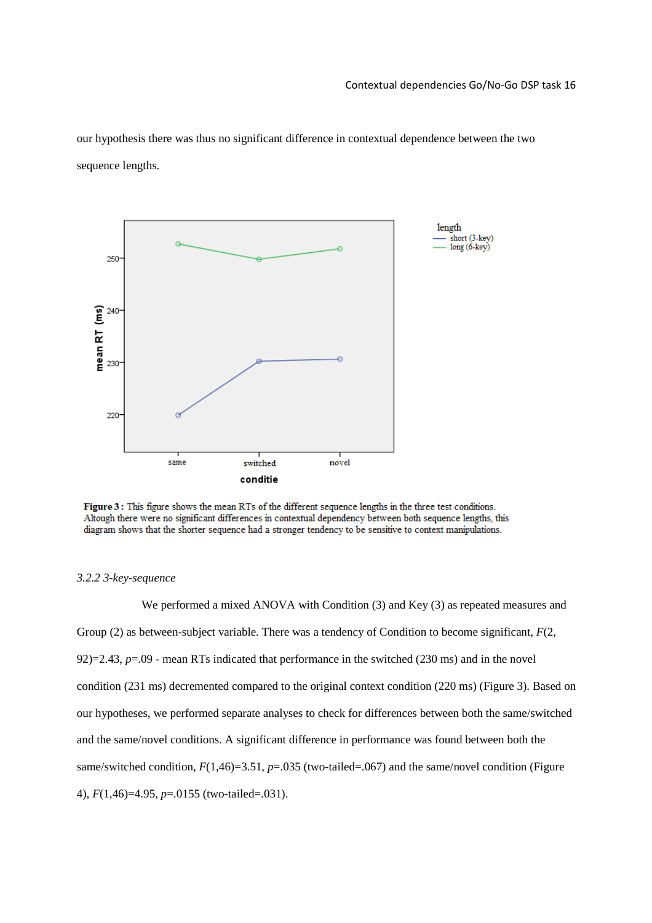our hypothesis there was thus no significant difference in contextual dependence between the two sequence lengths.



Figure 3: This figure shows the mean RTs of the different sequence lengths in the three test conditions. Altough there were no significant differences in contextual dependency between both sequence lengths, this diagram shows that the shorter sequence had a stronger tendency to be sensitive to context manipulations.

#### *3.2.2 3-key-sequence*

We performed a mixed ANOVA with Condition (3) and Key (3) as repeated measures and Group (2) as between-subject variable. There was a tendency of Condition to become significant, *F*(2, 92)=2.43, *p*=.09 - mean RTs indicated that performance in the switched (230 ms) and in the novel condition (231 ms) decremented compared to the original context condition (220 ms) (Figure 3). Based on our hypotheses, we performed separate analyses to check for differences between both the same/switched and the same/novel conditions. A significant difference in performance was found between both the same/switched condition,  $F(1,46)=3.51$ ,  $p=.035$  (two-tailed=.067) and the same/novel condition (Figure 4), *F*(1,46)=4.95, *p*=.0155 (two-tailed=.031).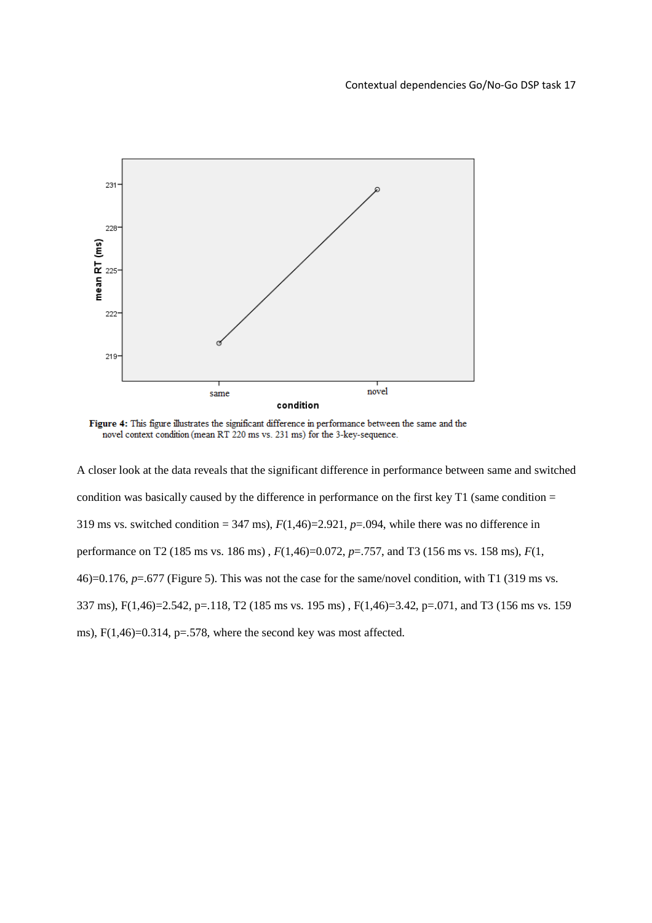

Figure 4: This figure illustrates the significant difference in performance between the same and the novel context condition (mean RT 220 ms vs. 231 ms) for the 3-key-sequence.

A closer look at the data reveals that the significant difference in performance between same and switched condition was basically caused by the difference in performance on the first key T1 (same condition = 319 ms vs. switched condition = 347 ms),  $F(1,46)$ =2.921,  $p$ =.094, while there was no difference in performance on T2 (185 ms vs. 186 ms) , *F*(1,46)=0.072, *p*=.757, and T3 (156 ms vs. 158 ms), *F*(1, 46)=0.176, *p*=.677 (Figure 5). This was not the case for the same/novel condition, with T1 (319 ms vs. 337 ms), F(1,46)=2.542, p=.118, T2 (185 ms vs. 195 ms) , F(1,46)=3.42, p=.071, and T3 (156 ms vs. 159 ms),  $F(1,46)=0.314$ ,  $p=.578$ , where the second key was most affected.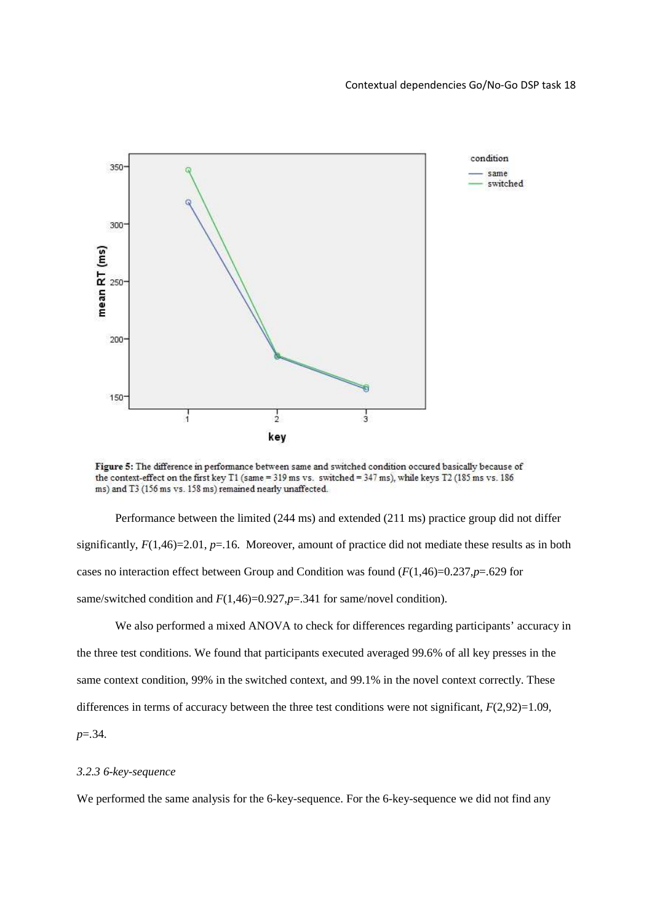

Figure 5: The difference in performance between same and switched condition occured basically because of the context-effect on the first key T1 (same = 319 ms vs. switched = 347 ms), while keys T2 (185 ms vs. 186 ms) and T3 (156 ms vs. 158 ms) remained nearly unaffected.

 Performance between the limited (244 ms) and extended (211 ms) practice group did not differ significantly,  $F(1,46)=2.01$ ,  $p=.16$ . Moreover, amount of practice did not mediate these results as in both cases no interaction effect between Group and Condition was found (*F*(1,46)=0.237,*p*=.629 for same/switched condition and  $F(1,46)=0.927$ ,  $p=.341$  for same/novel condition).

 We also performed a mixed ANOVA to check for differences regarding participants' accuracy in the three test conditions. We found that participants executed averaged 99.6% of all key presses in the same context condition, 99% in the switched context, and 99.1% in the novel context correctly. These differences in terms of accuracy between the three test conditions were not significant,  $F(2,92)=1.09$ , *p*=.34.

#### *3.2.3 6-key-sequence*

We performed the same analysis for the 6-key-sequence. For the 6-key-sequence we did not find any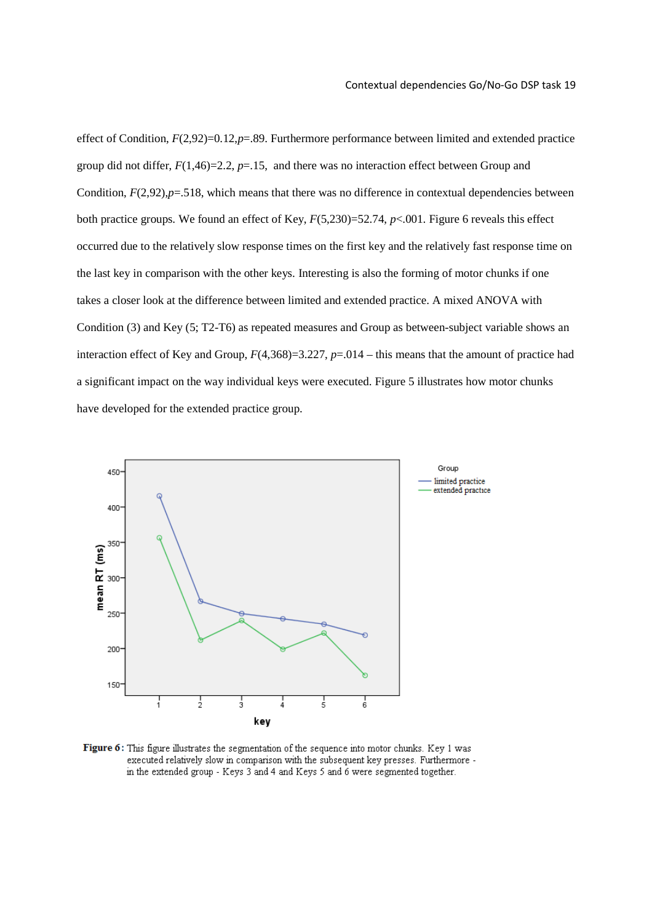effect of Condition, *F*(2,92)=0.12,*p*=.89. Furthermore performance between limited and extended practice group did not differ,  $F(1,46)=2.2$ ,  $p=.15$ , and there was no interaction effect between Group and Condition,  $F(2,92)$ , $p=518$ , which means that there was no difference in contextual dependencies between both practice groups. We found an effect of Key, *F*(5,230)=52.74, *p*<.001. Figure 6 reveals this effect occurred due to the relatively slow response times on the first key and the relatively fast response time on the last key in comparison with the other keys. Interesting is also the forming of motor chunks if one takes a closer look at the difference between limited and extended practice. A mixed ANOVA with Condition (3) and Key (5; T2-T6) as repeated measures and Group as between-subject variable shows an interaction effect of Key and Group, *F*(4,368)=3.227, *p*=.014 – this means that the amount of practice had a significant impact on the way individual keys were executed. Figure 5 illustrates how motor chunks have developed for the extended practice group.



Figure 6: This figure illustrates the segmentation of the sequence into motor chunks. Key 1 was executed relatively slow in comparison with the subsequent key presses. Furthermore in the extended group - Keys 3 and 4 and Keys 5 and 6 were segmented together.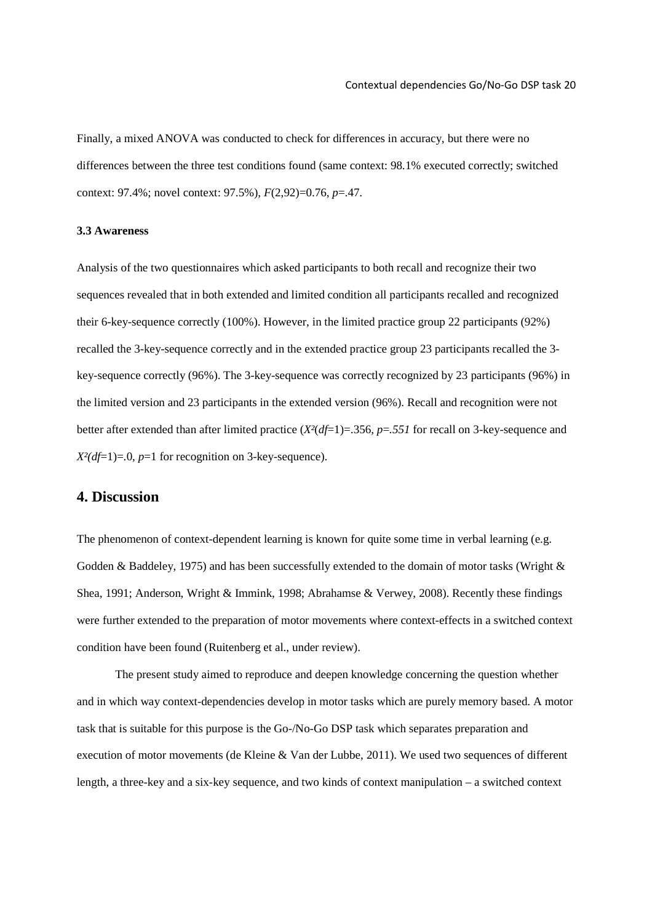Finally, a mixed ANOVA was conducted to check for differences in accuracy, but there were no differences between the three test conditions found (same context: 98.1% executed correctly; switched context: 97.4%; novel context: 97.5%), *F*(2,92)=0.76, *p*=.47.

## **3.3 Awareness**

Analysis of the two questionnaires which asked participants to both recall and recognize their two sequences revealed that in both extended and limited condition all participants recalled and recognized their 6-key-sequence correctly (100%). However, in the limited practice group 22 participants (92%) recalled the 3-key-sequence correctly and in the extended practice group 23 participants recalled the 3 key-sequence correctly (96%). The 3-key-sequence was correctly recognized by 23 participants (96%) in the limited version and 23 participants in the extended version (96%). Recall and recognition were not better after extended than after limited practice (*X²*(*df*=1)=.356, *p*=*.551* for recall on 3-key-sequence and *X²(df*=1)=.0, *p*=1 for recognition on 3-key-sequence).

## **4. Discussion**

The phenomenon of context-dependent learning is known for quite some time in verbal learning (e.g. Godden & Baddeley, 1975) and has been successfully extended to the domain of motor tasks (Wright & Shea, 1991; Anderson, Wright & Immink, 1998; Abrahamse & Verwey, 2008). Recently these findings were further extended to the preparation of motor movements where context-effects in a switched context condition have been found (Ruitenberg et al., under review).

 The present study aimed to reproduce and deepen knowledge concerning the question whether and in which way context-dependencies develop in motor tasks which are purely memory based. A motor task that is suitable for this purpose is the Go-/No-Go DSP task which separates preparation and execution of motor movements (de Kleine & Van der Lubbe, 2011). We used two sequences of different length, a three-key and a six-key sequence, and two kinds of context manipulation – a switched context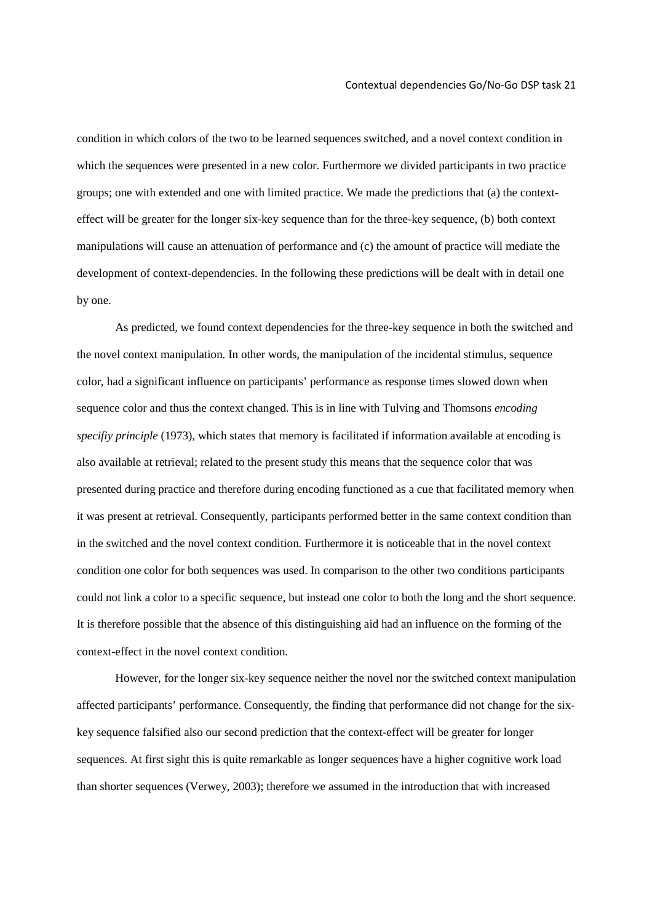condition in which colors of the two to be learned sequences switched, and a novel context condition in which the sequences were presented in a new color. Furthermore we divided participants in two practice groups; one with extended and one with limited practice. We made the predictions that (a) the contexteffect will be greater for the longer six-key sequence than for the three-key sequence, (b) both context manipulations will cause an attenuation of performance and (c) the amount of practice will mediate the development of context-dependencies. In the following these predictions will be dealt with in detail one by one.

 As predicted, we found context dependencies for the three-key sequence in both the switched and the novel context manipulation. In other words, the manipulation of the incidental stimulus, sequence color, had a significant influence on participants' performance as response times slowed down when sequence color and thus the context changed. This is in line with Tulving and Thomsons *encoding specifiy principle* (1973), which states that memory is facilitated if information available at encoding is also available at retrieval; related to the present study this means that the sequence color that was presented during practice and therefore during encoding functioned as a cue that facilitated memory when it was present at retrieval. Consequently, participants performed better in the same context condition than in the switched and the novel context condition. Furthermore it is noticeable that in the novel context condition one color for both sequences was used. In comparison to the other two conditions participants could not link a color to a specific sequence, but instead one color to both the long and the short sequence. It is therefore possible that the absence of this distinguishing aid had an influence on the forming of the context-effect in the novel context condition.

 However, for the longer six-key sequence neither the novel nor the switched context manipulation affected participants' performance. Consequently, the finding that performance did not change for the sixkey sequence falsified also our second prediction that the context-effect will be greater for longer sequences. At first sight this is quite remarkable as longer sequences have a higher cognitive work load than shorter sequences (Verwey, 2003); therefore we assumed in the introduction that with increased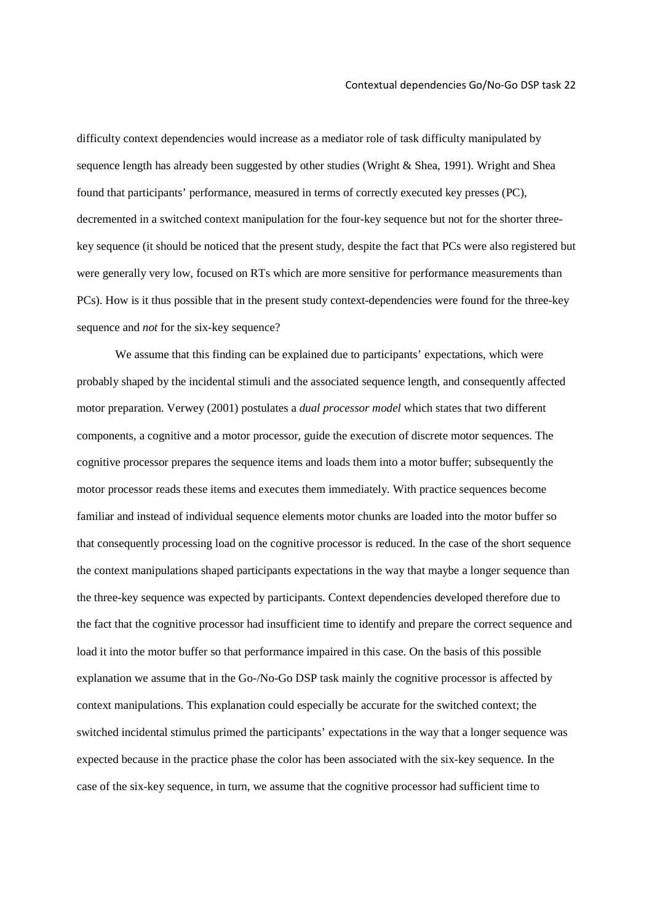difficulty context dependencies would increase as a mediator role of task difficulty manipulated by sequence length has already been suggested by other studies (Wright & Shea, 1991). Wright and Shea found that participants' performance, measured in terms of correctly executed key presses (PC), decremented in a switched context manipulation for the four-key sequence but not for the shorter threekey sequence (it should be noticed that the present study, despite the fact that PCs were also registered but were generally very low, focused on RTs which are more sensitive for performance measurements than PCs). How is it thus possible that in the present study context-dependencies were found for the three-key sequence and *not* for the six-key sequence?

 We assume that this finding can be explained due to participants' expectations, which were probably shaped by the incidental stimuli and the associated sequence length, and consequently affected motor preparation. Verwey (2001) postulates a *dual processor model* which states that two different components, a cognitive and a motor processor, guide the execution of discrete motor sequences. The cognitive processor prepares the sequence items and loads them into a motor buffer; subsequently the motor processor reads these items and executes them immediately. With practice sequences become familiar and instead of individual sequence elements motor chunks are loaded into the motor buffer so that consequently processing load on the cognitive processor is reduced. In the case of the short sequence the context manipulations shaped participants expectations in the way that maybe a longer sequence than the three-key sequence was expected by participants. Context dependencies developed therefore due to the fact that the cognitive processor had insufficient time to identify and prepare the correct sequence and load it into the motor buffer so that performance impaired in this case. On the basis of this possible explanation we assume that in the Go-/No-Go DSP task mainly the cognitive processor is affected by context manipulations. This explanation could especially be accurate for the switched context; the switched incidental stimulus primed the participants' expectations in the way that a longer sequence was expected because in the practice phase the color has been associated with the six-key sequence. In the case of the six-key sequence, in turn, we assume that the cognitive processor had sufficient time to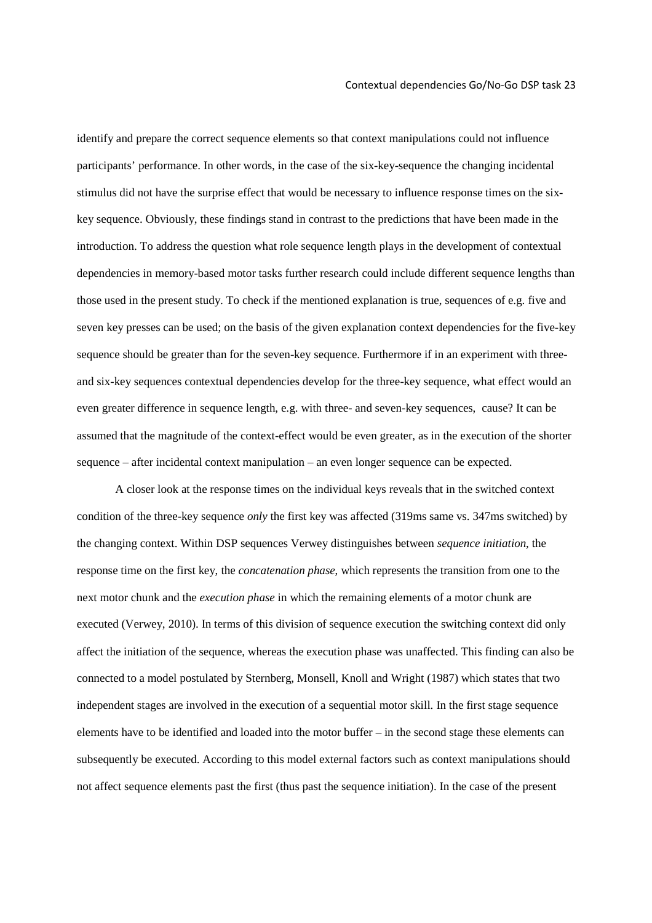identify and prepare the correct sequence elements so that context manipulations could not influence participants' performance. In other words, in the case of the six-key-sequence the changing incidental stimulus did not have the surprise effect that would be necessary to influence response times on the sixkey sequence. Obviously, these findings stand in contrast to the predictions that have been made in the introduction. To address the question what role sequence length plays in the development of contextual dependencies in memory-based motor tasks further research could include different sequence lengths than those used in the present study. To check if the mentioned explanation is true, sequences of e.g. five and seven key presses can be used; on the basis of the given explanation context dependencies for the five-key sequence should be greater than for the seven-key sequence. Furthermore if in an experiment with threeand six-key sequences contextual dependencies develop for the three-key sequence, what effect would an even greater difference in sequence length, e.g. with three- and seven-key sequences, cause? It can be assumed that the magnitude of the context-effect would be even greater, as in the execution of the shorter sequence – after incidental context manipulation – an even longer sequence can be expected.

 A closer look at the response times on the individual keys reveals that in the switched context condition of the three-key sequence *only* the first key was affected (319ms same vs. 347ms switched) by the changing context. Within DSP sequences Verwey distinguishes between *sequence initiation*, the response time on the first key, the *concatenation phase*, which represents the transition from one to the next motor chunk and the *execution phase* in which the remaining elements of a motor chunk are executed (Verwey, 2010). In terms of this division of sequence execution the switching context did only affect the initiation of the sequence, whereas the execution phase was unaffected. This finding can also be connected to a model postulated by Sternberg, Monsell, Knoll and Wright (1987) which states that two independent stages are involved in the execution of a sequential motor skill. In the first stage sequence elements have to be identified and loaded into the motor buffer – in the second stage these elements can subsequently be executed. According to this model external factors such as context manipulations should not affect sequence elements past the first (thus past the sequence initiation). In the case of the present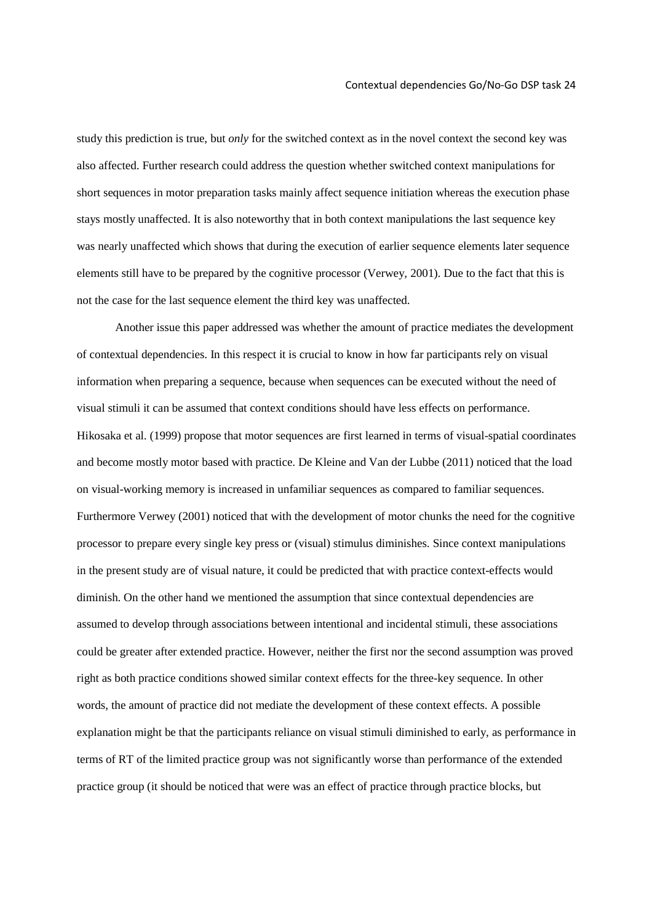study this prediction is true, but *only* for the switched context as in the novel context the second key was also affected. Further research could address the question whether switched context manipulations for short sequences in motor preparation tasks mainly affect sequence initiation whereas the execution phase stays mostly unaffected. It is also noteworthy that in both context manipulations the last sequence key was nearly unaffected which shows that during the execution of earlier sequence elements later sequence elements still have to be prepared by the cognitive processor (Verwey, 2001). Due to the fact that this is not the case for the last sequence element the third key was unaffected.

Another issue this paper addressed was whether the amount of practice mediates the development of contextual dependencies. In this respect it is crucial to know in how far participants rely on visual information when preparing a sequence, because when sequences can be executed without the need of visual stimuli it can be assumed that context conditions should have less effects on performance. Hikosaka et al. (1999) propose that motor sequences are first learned in terms of visual-spatial coordinates and become mostly motor based with practice. De Kleine and Van der Lubbe (2011) noticed that the load on visual-working memory is increased in unfamiliar sequences as compared to familiar sequences. Furthermore Verwey (2001) noticed that with the development of motor chunks the need for the cognitive processor to prepare every single key press or (visual) stimulus diminishes. Since context manipulations in the present study are of visual nature, it could be predicted that with practice context-effects would diminish. On the other hand we mentioned the assumption that since contextual dependencies are assumed to develop through associations between intentional and incidental stimuli, these associations could be greater after extended practice. However, neither the first nor the second assumption was proved right as both practice conditions showed similar context effects for the three-key sequence. In other words, the amount of practice did not mediate the development of these context effects. A possible explanation might be that the participants reliance on visual stimuli diminished to early, as performance in terms of RT of the limited practice group was not significantly worse than performance of the extended practice group (it should be noticed that were was an effect of practice through practice blocks, but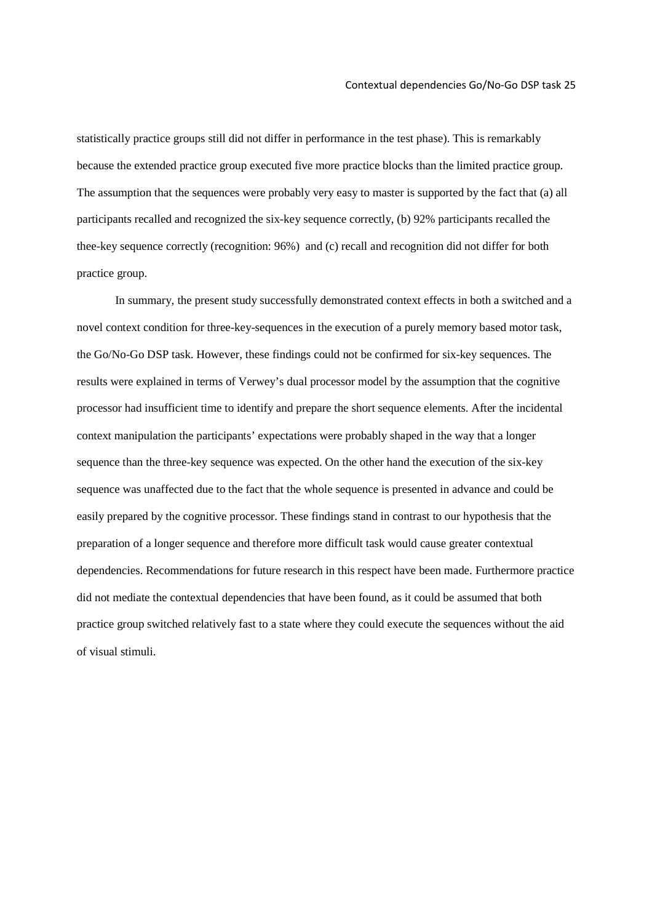statistically practice groups still did not differ in performance in the test phase). This is remarkably because the extended practice group executed five more practice blocks than the limited practice group. The assumption that the sequences were probably very easy to master is supported by the fact that (a) all participants recalled and recognized the six-key sequence correctly, (b) 92% participants recalled the thee-key sequence correctly (recognition: 96%) and (c) recall and recognition did not differ for both practice group.

 In summary, the present study successfully demonstrated context effects in both a switched and a novel context condition for three-key-sequences in the execution of a purely memory based motor task, the Go/No-Go DSP task. However, these findings could not be confirmed for six-key sequences. The results were explained in terms of Verwey's dual processor model by the assumption that the cognitive processor had insufficient time to identify and prepare the short sequence elements. After the incidental context manipulation the participants' expectations were probably shaped in the way that a longer sequence than the three-key sequence was expected. On the other hand the execution of the six-key sequence was unaffected due to the fact that the whole sequence is presented in advance and could be easily prepared by the cognitive processor. These findings stand in contrast to our hypothesis that the preparation of a longer sequence and therefore more difficult task would cause greater contextual dependencies. Recommendations for future research in this respect have been made. Furthermore practice did not mediate the contextual dependencies that have been found, as it could be assumed that both practice group switched relatively fast to a state where they could execute the sequences without the aid of visual stimuli.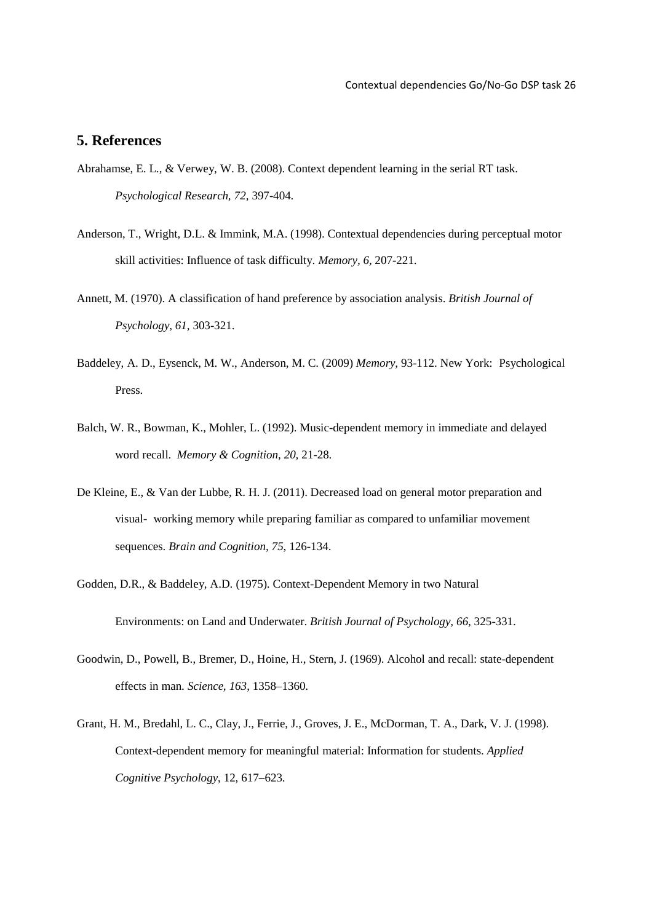## **5. References**

- Abrahamse, E. L., & Verwey, W. B. (2008). Context dependent learning in the serial RT task. *Psychological Research, 72*, 397-404.
- Anderson, T., Wright, D.L. & Immink, M.A. (1998). Contextual dependencies during perceptual motor skill activities: Influence of task difficulty. *Memory, 6,* 207-221.
- Annett, M. (1970). A classification of hand preference by association analysis. *British Journal of Psychology, 61,* 303-321.
- Baddeley, A. D., Eysenck, M. W., Anderson, M. C. (2009) *Memory,* 93-112. New York: Psychological Press.
- Balch, W. R., Bowman, K., Mohler, L. (1992). Music-dependent memory in immediate and delayed word recall. *Memory & Cognition, 20,* 21-28.
- De Kleine, E., & Van der Lubbe, R. H. J. (2011). Decreased load on general motor preparation and visual- working memory while preparing familiar as compared to unfamiliar movement sequences. *Brain and Cognition, 75*, 126-134.
- Godden, D.R., & Baddeley, A.D. (1975). Context-Dependent Memory in two Natural Environments: on Land and Underwater. *British Journal of Psychology, 66*, 325-331.
- Goodwin, D., Powell, B., Bremer, D., Hoine, H., Stern, J. (1969). Alcohol and recall: state-dependent effects in man. *Science, 163,* 1358–1360.
- Grant, H. M., Bredahl, L. C., Clay, J., Ferrie, J., Groves, J. E., McDorman, T. A., Dark, V. J. (1998). Context-dependent memory for meaningful material: Information for students. *Applied Cognitive Psychology*, 12, 617–623.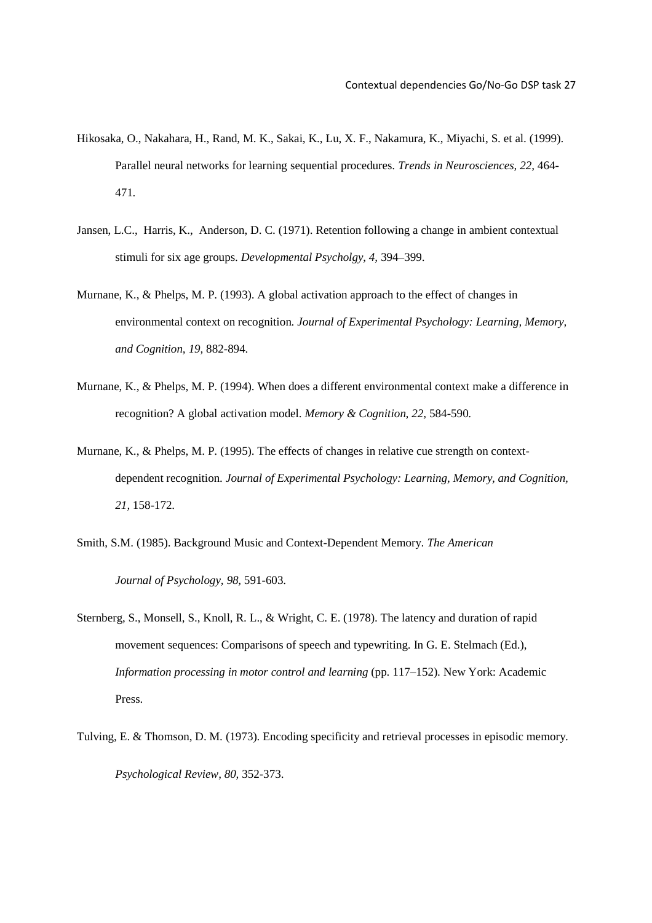- Hikosaka, O., Nakahara, H., Rand, M. K., Sakai, K., Lu, X. F., Nakamura, K., Miyachi, S. et al. (1999). Parallel neural networks for learning sequential procedures. *Trends in Neurosciences, 22,* 464- 471.
- Jansen, L.C., Harris, K., Anderson, D. C. (1971). Retention following a change in ambient contextual stimuli for six age groups. *Developmental Psycholgy*, *4,* 394–399.
- Murnane, K., & Phelps, M. P. (1993). A global activation approach to the effect of changes in environmental context on recognition. *Journal of Experimental Psychology: Learning, Memory, and Cognition, 19,* 882-894.
- Murnane, K., & Phelps, M. P. (1994). When does a different environmental context make a difference in recognition? A global activation model. *Memory & Cognition, 22,* 584-590.
- Murnane, K., & Phelps, M. P. (1995). The effects of changes in relative cue strength on context dependent recognition. *Journal of Experimental Psychology: Learning, Memory, and Cognition, 21,* 158-172.
- Smith, S.M. (1985). Background Music and Context-Dependent Memory. *The American Journal of Psychology, 98*, 591-603.
- Sternberg, S., Monsell, S., Knoll, R. L., & Wright, C. E. (1978). The latency and duration of rapid movement sequences: Comparisons of speech and typewriting. In G. E. Stelmach (Ed.), *Information processing in motor control and learning* (pp. 117–152). New York: Academic Press.
- Tulving, E. & Thomson, D. M. (1973). Encoding specificity and retrieval processes in episodic memory. *Psychological Review, 80,* 352-373.